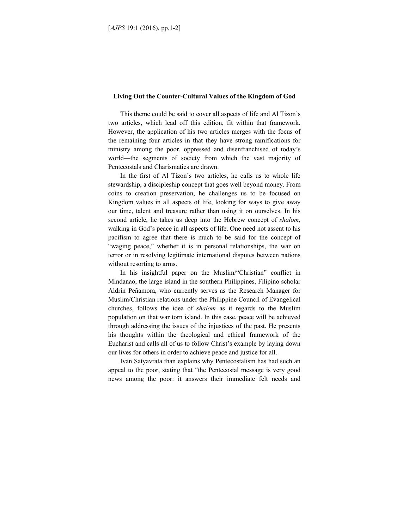## **Living Out the Counter-Cultural Values of the Kingdom of God**

This theme could be said to cover all aspects of life and Al Tizon's two articles, which lead off this edition, fit within that framework. However, the application of his two articles merges with the focus of the remaining four articles in that they have strong ramifications for ministry among the poor, oppressed and disenfranchised of today's world—the segments of society from which the vast majority of Pentecostals and Charismatics are drawn.

In the first of Al Tizon's two articles, he calls us to whole life stewardship, a discipleship concept that goes well beyond money. From coins to creation preservation, he challenges us to be focused on Kingdom values in all aspects of life, looking for ways to give away our time, talent and treasure rather than using it on ourselves. In his second article, he takes us deep into the Hebrew concept of *shalom*, walking in God's peace in all aspects of life. One need not assent to his pacifism to agree that there is much to be said for the concept of "waging peace," whether it is in personal relationships, the war on terror or in resolving legitimate international disputes between nations without resorting to arms.

In his insightful paper on the Muslim/"Christian" conflict in Mindanao, the large island in the southern Philippines, Filipino scholar Aldrin Peñamora, who currently serves as the Research Manager for Muslim/Christian relations under the Philippine Council of Evangelical churches, follows the idea of *shalom* as it regards to the Muslim population on that war torn island. In this case, peace will be achieved through addressing the issues of the injustices of the past. He presents his thoughts within the theological and ethical framework of the Eucharist and calls all of us to follow Christ's example by laying down our lives for others in order to achieve peace and justice for all.

Ivan Satyavrata than explains why Pentecostalism has had such an appeal to the poor, stating that "the Pentecostal message is very good news among the poor: it answers their immediate felt needs and